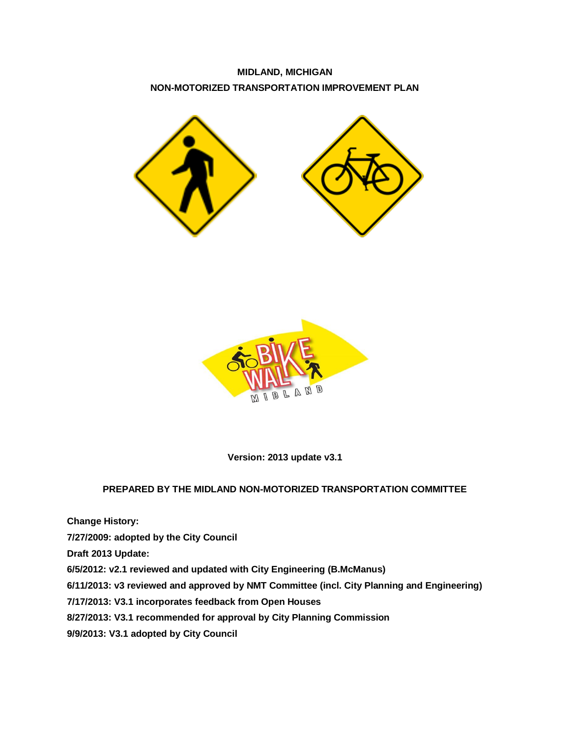**MIDLAND, MICHIGAN NON-MOTORIZED TRANSPORTATION IMPROVEMENT PLAN**





**Version: 2013 update v3.1**

### **PREPARED BY THE MIDLAND NON-MOTORIZED TRANSPORTATION COMMITTEE**

**Change History: 7/27/2009: adopted by the City Council Draft 2013 Update: 6/5/2012: v2.1 reviewed and updated with City Engineering (B.McManus) 6/11/2013: v3 reviewed and approved by NMT Committee (incl. City Planning and Engineering) 7/17/2013: V3.1 incorporates feedback from Open Houses 8/27/2013: V3.1 recommended for approval by City Planning Commission 9/9/2013: V3.1 adopted by City Council**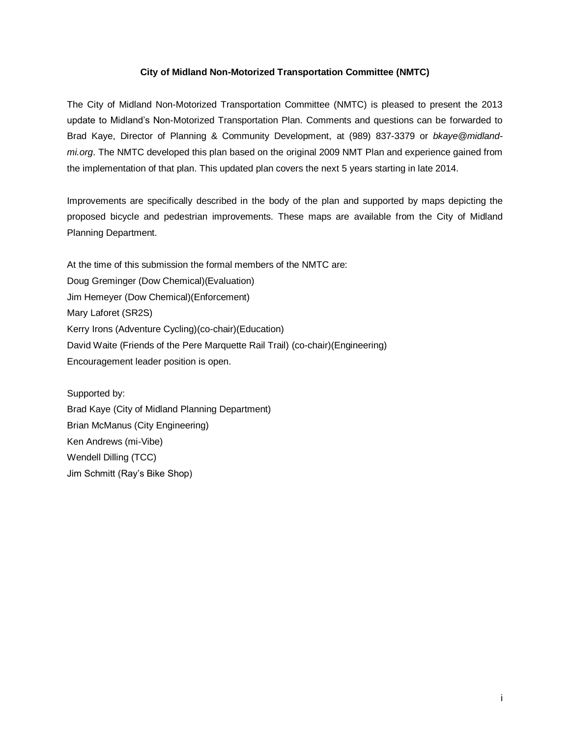#### **City of Midland Non-Motorized Transportation Committee (NMTC)**

The City of Midland Non-Motorized Transportation Committee (NMTC) is pleased to present the 2013 update to Midland's Non-Motorized Transportation Plan. Comments and questions can be forwarded to Brad Kaye, Director of Planning & Community Development, at (989) 837-3379 or *bkaye@midlandmi.org*. The NMTC developed this plan based on the original 2009 NMT Plan and experience gained from the implementation of that plan. This updated plan covers the next 5 years starting in late 2014.

Improvements are specifically described in the body of the plan and supported by maps depicting the proposed bicycle and pedestrian improvements. These maps are available from the City of Midland Planning Department.

At the time of this submission the formal members of the NMTC are: Doug Greminger (Dow Chemical)(Evaluation) Jim Hemeyer (Dow Chemical)(Enforcement) Mary Laforet (SR2S) Kerry Irons (Adventure Cycling)(co-chair)(Education) David Waite (Friends of the Pere Marquette Rail Trail) (co-chair)(Engineering) Encouragement leader position is open.

Supported by: Brad Kaye (City of Midland Planning Department) Brian McManus (City Engineering) Ken Andrews (mi-Vibe) Wendell Dilling (TCC) Jim Schmitt (Ray's Bike Shop)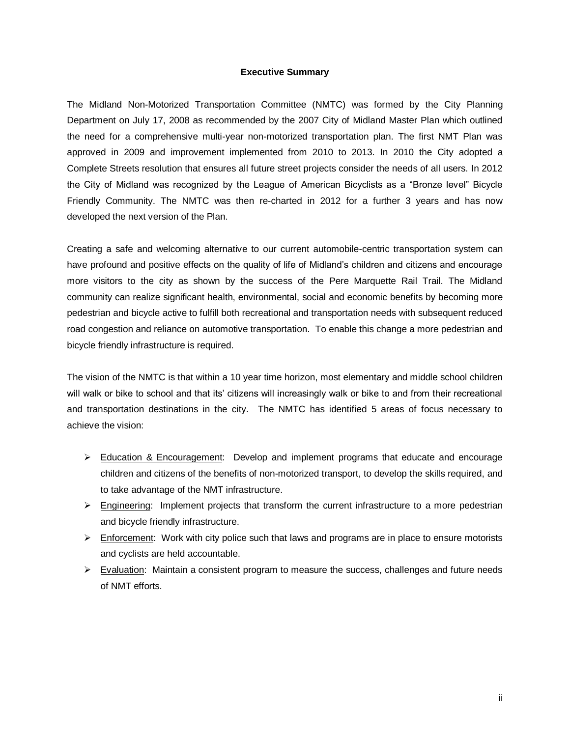#### **Executive Summary**

The Midland Non-Motorized Transportation Committee (NMTC) was formed by the City Planning Department on July 17, 2008 as recommended by the 2007 City of Midland Master Plan which outlined the need for a comprehensive multi-year non-motorized transportation plan. The first NMT Plan was approved in 2009 and improvement implemented from 2010 to 2013. In 2010 the City adopted a Complete Streets resolution that ensures all future street projects consider the needs of all users. In 2012 the City of Midland was recognized by the League of American Bicyclists as a "Bronze level" Bicycle Friendly Community. The NMTC was then re-charted in 2012 for a further 3 years and has now developed the next version of the Plan.

Creating a safe and welcoming alternative to our current automobile-centric transportation system can have profound and positive effects on the quality of life of Midland's children and citizens and encourage more visitors to the city as shown by the success of the Pere Marquette Rail Trail. The Midland community can realize significant health, environmental, social and economic benefits by becoming more pedestrian and bicycle active to fulfill both recreational and transportation needs with subsequent reduced road congestion and reliance on automotive transportation. To enable this change a more pedestrian and bicycle friendly infrastructure is required.

The vision of the NMTC is that within a 10 year time horizon, most elementary and middle school children will walk or bike to school and that its' citizens will increasingly walk or bike to and from their recreational and transportation destinations in the city. The NMTC has identified 5 areas of focus necessary to achieve the vision:

- $\triangleright$  Education & Encouragement: Develop and implement programs that educate and encourage children and citizens of the benefits of non-motorized transport, to develop the skills required, and to take advantage of the NMT infrastructure.
- $\triangleright$  Engineering: Implement projects that transform the current infrastructure to a more pedestrian and bicycle friendly infrastructure.
- $\triangleright$  Enforcement: Work with city police such that laws and programs are in place to ensure motorists and cyclists are held accountable.
- $\triangleright$  Evaluation: Maintain a consistent program to measure the success, challenges and future needs of NMT efforts.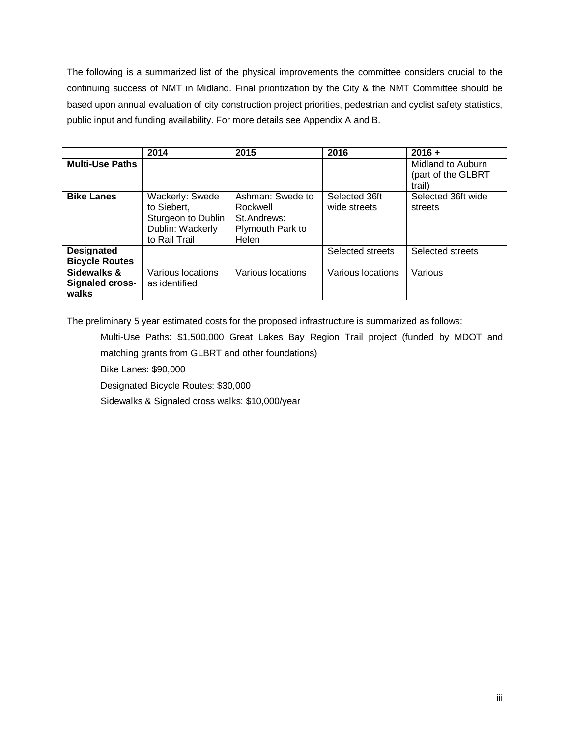The following is a summarized list of the physical improvements the committee considers crucial to the continuing success of NMT in Midland. Final prioritization by the City & the NMT Committee should be based upon annual evaluation of city construction project priorities, pedestrian and cyclist safety statistics, public input and funding availability. For more details see Appendix A and B.

|                                                | 2014                                                                                      | 2015                                                                     | 2016                          | $2016 +$                                          |
|------------------------------------------------|-------------------------------------------------------------------------------------------|--------------------------------------------------------------------------|-------------------------------|---------------------------------------------------|
| <b>Multi-Use Paths</b>                         |                                                                                           |                                                                          |                               | Midland to Auburn<br>(part of the GLBRT<br>trail) |
| <b>Bike Lanes</b>                              | Wackerly: Swede<br>to Siebert,<br>Sturgeon to Dublin<br>Dublin: Wackerly<br>to Rail Trail | Ashman: Swede to<br>Rockwell<br>St.Andrews:<br>Plymouth Park to<br>Helen | Selected 36ft<br>wide streets | Selected 36ft wide<br>streets                     |
| <b>Designated</b><br><b>Bicycle Routes</b>     |                                                                                           |                                                                          | Selected streets              | Selected streets                                  |
| Sidewalks &<br><b>Signaled cross-</b><br>walks | Various locations<br>as identified                                                        | Various locations                                                        | Various locations             | Various                                           |

The preliminary 5 year estimated costs for the proposed infrastructure is summarized as follows:

Multi-Use Paths: \$1,500,000 Great Lakes Bay Region Trail project (funded by MDOT and matching grants from GLBRT and other foundations)

Bike Lanes: \$90,000

Designated Bicycle Routes: \$30,000

Sidewalks & Signaled cross walks: \$10,000/year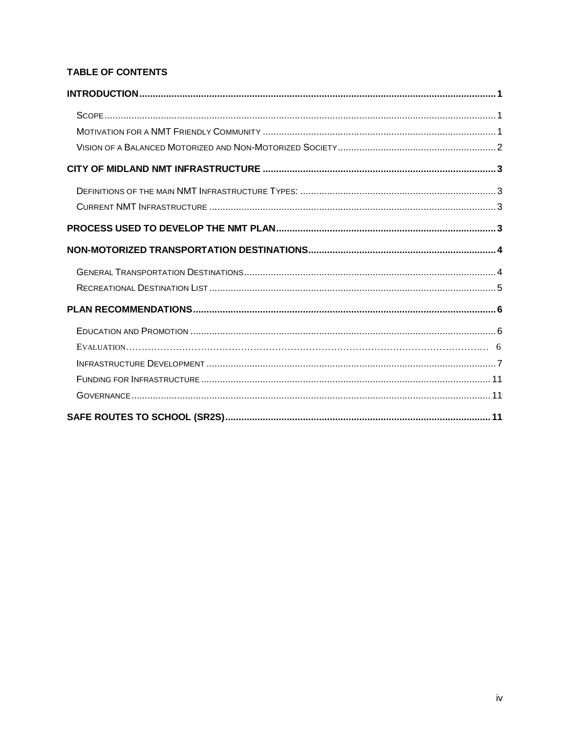# TABLE OF CONTENTS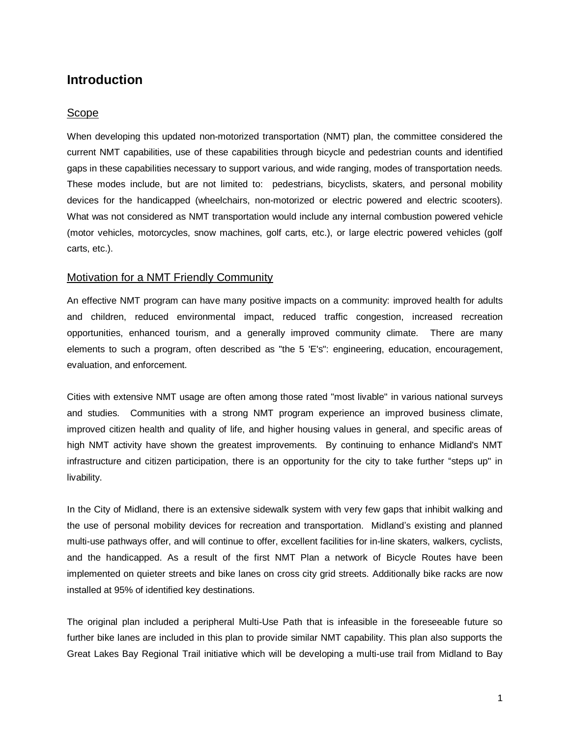# <span id="page-5-0"></span>**Introduction**

#### <span id="page-5-1"></span>Scope

When developing this updated non-motorized transportation (NMT) plan, the committee considered the current NMT capabilities, use of these capabilities through bicycle and pedestrian counts and identified gaps in these capabilities necessary to support various, and wide ranging, modes of transportation needs. These modes include, but are not limited to: pedestrians, bicyclists, skaters, and personal mobility devices for the handicapped (wheelchairs, non-motorized or electric powered and electric scooters). What was not considered as NMT transportation would include any internal combustion powered vehicle (motor vehicles, motorcycles, snow machines, golf carts, etc.), or large electric powered vehicles (golf carts, etc.).

# <span id="page-5-2"></span>Motivation for a NMT Friendly Community

An effective NMT program can have many positive impacts on a community: improved health for adults and children, reduced environmental impact, reduced traffic congestion, increased recreation opportunities, enhanced tourism, and a generally improved community climate. There are many elements to such a program, often described as "the 5 'E's": engineering, education, encouragement, evaluation, and enforcement.

Cities with extensive NMT usage are often among those rated "most livable" in various national surveys and studies. Communities with a strong NMT program experience an improved business climate, improved citizen health and quality of life, and higher housing values in general, and specific areas of high NMT activity have shown the greatest improvements. By continuing to enhance Midland's NMT infrastructure and citizen participation, there is an opportunity for the city to take further "steps up" in livability.

In the City of Midland, there is an extensive sidewalk system with very few gaps that inhibit walking and the use of personal mobility devices for recreation and transportation. Midland's existing and planned multi-use pathways offer, and will continue to offer, excellent facilities for in-line skaters, walkers, cyclists, and the handicapped. As a result of the first NMT Plan a network of Bicycle Routes have been implemented on quieter streets and bike lanes on cross city grid streets. Additionally bike racks are now installed at 95% of identified key destinations.

The original plan included a peripheral Multi-Use Path that is infeasible in the foreseeable future so further bike lanes are included in this plan to provide similar NMT capability. This plan also supports the Great Lakes Bay Regional Trail initiative which will be developing a multi-use trail from Midland to Bay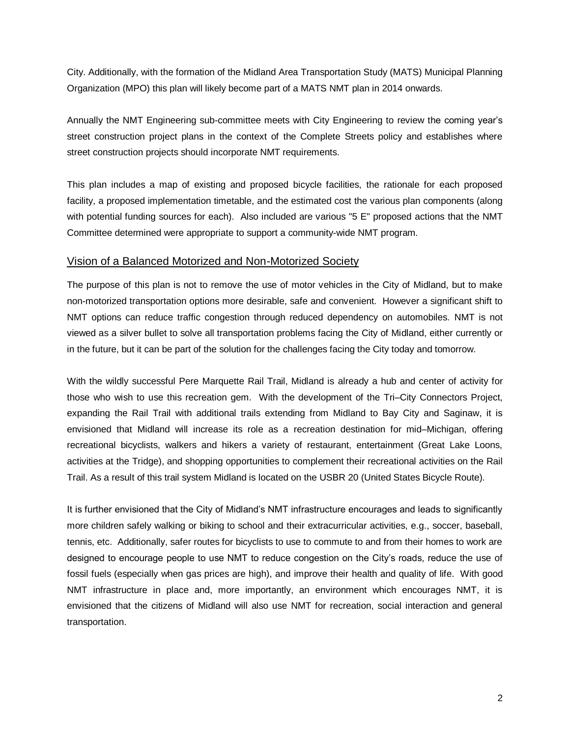City. Additionally, with the formation of the Midland Area Transportation Study (MATS) Municipal Planning Organization (MPO) this plan will likely become part of a MATS NMT plan in 2014 onwards.

Annually the NMT Engineering sub-committee meets with City Engineering to review the coming year's street construction project plans in the context of the Complete Streets policy and establishes where street construction projects should incorporate NMT requirements.

This plan includes a map of existing and proposed bicycle facilities, the rationale for each proposed facility, a proposed implementation timetable, and the estimated cost the various plan components (along with potential funding sources for each). Also included are various "5 E" proposed actions that the NMT Committee determined were appropriate to support a community-wide NMT program.

#### <span id="page-6-0"></span>Vision of a Balanced Motorized and Non-Motorized Society

The purpose of this plan is not to remove the use of motor vehicles in the City of Midland, but to make non-motorized transportation options more desirable, safe and convenient. However a significant shift to NMT options can reduce traffic congestion through reduced dependency on automobiles. NMT is not viewed as a silver bullet to solve all transportation problems facing the City of Midland, either currently or in the future, but it can be part of the solution for the challenges facing the City today and tomorrow.

With the wildly successful Pere Marquette Rail Trail, Midland is already a hub and center of activity for those who wish to use this recreation gem. With the development of the Tri–City Connectors Project, expanding the Rail Trail with additional trails extending from Midland to Bay City and Saginaw, it is envisioned that Midland will increase its role as a recreation destination for mid–Michigan, offering recreational bicyclists, walkers and hikers a variety of restaurant, entertainment (Great Lake Loons, activities at the Tridge), and shopping opportunities to complement their recreational activities on the Rail Trail. As a result of this trail system Midland is located on the USBR 20 (United States Bicycle Route).

It is further envisioned that the City of Midland's NMT infrastructure encourages and leads to significantly more children safely walking or biking to school and their extracurricular activities, e.g., soccer, baseball, tennis, etc. Additionally, safer routes for bicyclists to use to commute to and from their homes to work are designed to encourage people to use NMT to reduce congestion on the City's roads, reduce the use of fossil fuels (especially when gas prices are high), and improve their health and quality of life. With good NMT infrastructure in place and, more importantly, an environment which encourages NMT, it is envisioned that the citizens of Midland will also use NMT for recreation, social interaction and general transportation.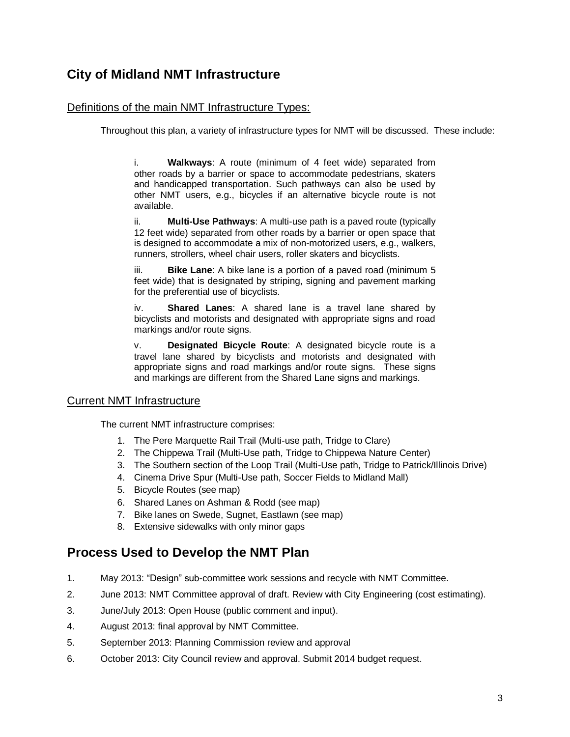# <span id="page-7-0"></span>**City of Midland NMT Infrastructure**

# <span id="page-7-1"></span>Definitions of the main NMT Infrastructure Types:

Throughout this plan, a variety of infrastructure types for NMT will be discussed. These include:

i. **Walkways**: A route (minimum of 4 feet wide) separated from other roads by a barrier or space to accommodate pedestrians, skaters and handicapped transportation. Such pathways can also be used by other NMT users, e.g., bicycles if an alternative bicycle route is not available.

ii. **Multi-Use Pathways**: A multi-use path is a paved route (typically 12 feet wide) separated from other roads by a barrier or open space that is designed to accommodate a mix of non-motorized users, e.g., walkers, runners, strollers, wheel chair users, roller skaters and bicyclists.

iii. **Bike Lane**: A bike lane is a portion of a paved road (minimum 5 feet wide) that is designated by striping, signing and pavement marking for the preferential use of bicyclists.

iv. **Shared Lanes**: A shared lane is a travel lane shared by bicyclists and motorists and designated with appropriate signs and road markings and/or route signs.

v. **Designated Bicycle Route**: A designated bicycle route is a travel lane shared by bicyclists and motorists and designated with appropriate signs and road markings and/or route signs. These signs and markings are different from the Shared Lane signs and markings.

### <span id="page-7-2"></span>Current NMT Infrastructure

The current NMT infrastructure comprises:

- 1. The Pere Marquette Rail Trail (Multi-use path, Tridge to Clare)
- 2. The Chippewa Trail (Multi-Use path, Tridge to Chippewa Nature Center)
- 3. The Southern section of the Loop Trail (Multi-Use path, Tridge to Patrick/Illinois Drive)
- 4. Cinema Drive Spur (Multi-Use path, Soccer Fields to Midland Mall)
- 5. Bicycle Routes (see map)
- 6. Shared Lanes on Ashman & Rodd (see map)
- 7. Bike lanes on Swede, Sugnet, Eastlawn (see map)
- 8. Extensive sidewalks with only minor gaps

# <span id="page-7-3"></span>**Process Used to Develop the NMT Plan**

- 1. May 2013: "Design" sub-committee work sessions and recycle with NMT Committee.
- 2. June 2013: NMT Committee approval of draft. Review with City Engineering (cost estimating).
- 3. June/July 2013: Open House (public comment and input).
- 4. August 2013: final approval by NMT Committee.
- 5. September 2013: Planning Commission review and approval
- <span id="page-7-4"></span>6. October 2013: City Council review and approval. Submit 2014 budget request.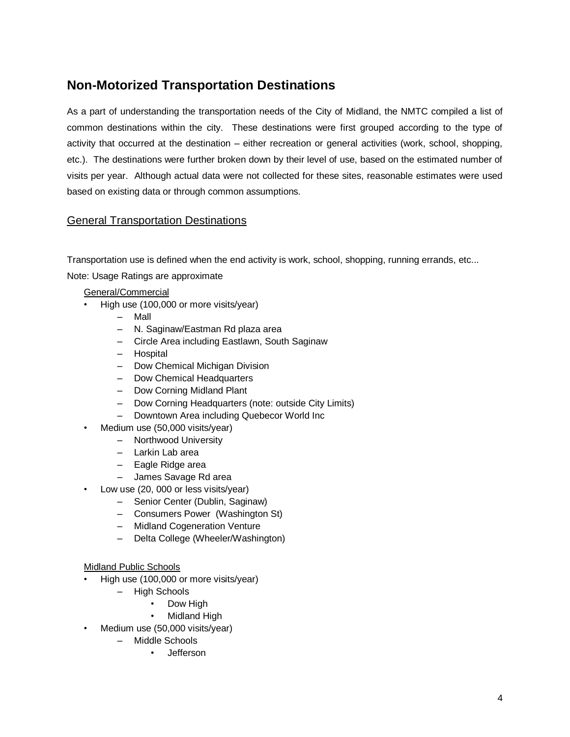# **Non-Motorized Transportation Destinations**

As a part of understanding the transportation needs of the City of Midland, the NMTC compiled a list of common destinations within the city. These destinations were first grouped according to the type of activity that occurred at the destination – either recreation or general activities (work, school, shopping, etc.). The destinations were further broken down by their level of use, based on the estimated number of visits per year. Although actual data were not collected for these sites, reasonable estimates were used based on existing data or through common assumptions.

### <span id="page-8-0"></span>General Transportation Destinations

Transportation use is defined when the end activity is work, school, shopping, running errands, etc...

Note: Usage Ratings are approximate

General/Commercial

- High use (100,000 or more visits/year)
	- Mall
	- N. Saginaw/Eastman Rd plaza area
	- Circle Area including Eastlawn, South Saginaw
	- Hospital
	- Dow Chemical Michigan Division
	- Dow Chemical Headquarters
	- Dow Corning Midland Plant
	- Dow Corning Headquarters (note: outside City Limits)
	- Downtown Area including Quebecor World Inc
- Medium use (50,000 visits/year)
	- Northwood University
		- Larkin Lab area
		- Eagle Ridge area
		- James Savage Rd area
- Low use (20, 000 or less visits/year)
	- Senior Center (Dublin, Saginaw)
	- Consumers Power (Washington St)
	- Midland Cogeneration Venture
	- Delta College (Wheeler/Washington)

#### Midland Public Schools

- High use (100,000 or more visits/year)
	- High Schools
		- Dow High
		- **Midland High**
- Medium use (50,000 visits/year)
	- Middle Schools
		- Jefferson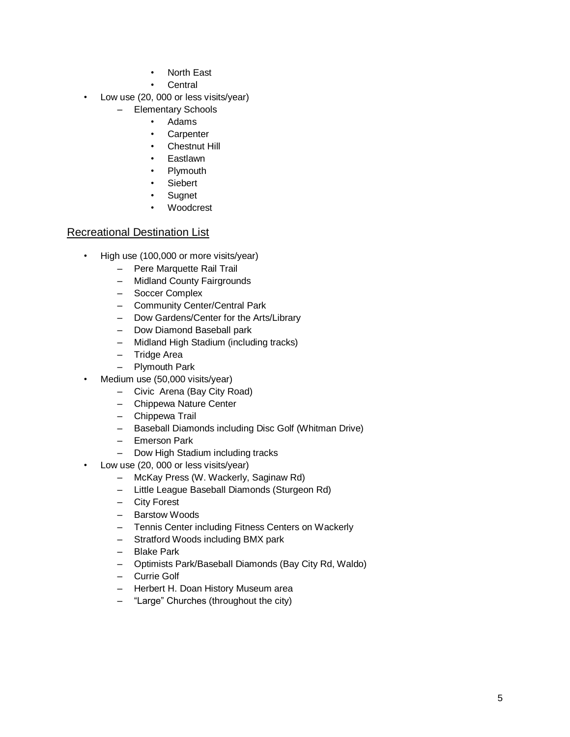- **North East**
- **Central**
- Low use (20, 000 or less visits/year)
	- Elementary Schools
		- Adams
		- Carpenter
		- Chestnut Hill
		- **Eastlawn**
		- **Plymouth**
		- **Siebert**
		- **Sugnet**
		- Woodcrest

### <span id="page-9-0"></span>Recreational Destination List

- High use (100,000 or more visits/year)
	- Pere Marquette Rail Trail
	- Midland County Fairgrounds
	- Soccer Complex
	- Community Center/Central Park
	- Dow Gardens/Center for the Arts/Library
	- Dow Diamond Baseball park
	- Midland High Stadium (including tracks)
	- Tridge Area
	- Plymouth Park
- Medium use (50,000 visits/year)
	- Civic Arena (Bay City Road)
	- Chippewa Nature Center
	- Chippewa Trail
	- Baseball Diamonds including Disc Golf (Whitman Drive)
	- Emerson Park
	- Dow High Stadium including tracks
- Low use (20, 000 or less visits/year)
	- McKay Press (W. Wackerly, Saginaw Rd)
	- Little League Baseball Diamonds (Sturgeon Rd)
	- City Forest
	- Barstow Woods
	- Tennis Center including Fitness Centers on Wackerly
	- Stratford Woods including BMX park
	- Blake Park
	- Optimists Park/Baseball Diamonds (Bay City Rd, Waldo)
	- Currie Golf
	- Herbert H. Doan History Museum area
	- "Large" Churches (throughout the city)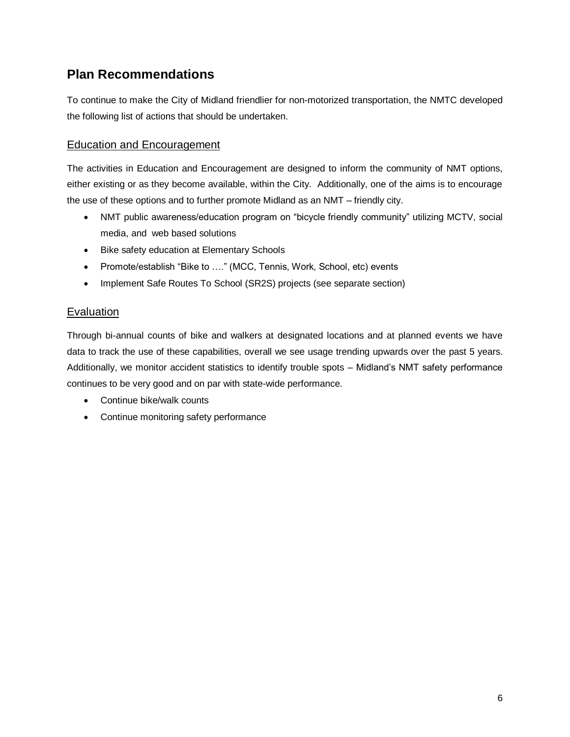# <span id="page-10-0"></span>**Plan Recommendations**

To continue to make the City of Midland friendlier for non-motorized transportation, the NMTC developed the following list of actions that should be undertaken.

# <span id="page-10-1"></span>Education and Encouragement

The activities in Education and Encouragement are designed to inform the community of NMT options, either existing or as they become available, within the City. Additionally, one of the aims is to encourage the use of these options and to further promote Midland as an NMT – friendly city.

- NMT public awareness/education program on "bicycle friendly community" utilizing MCTV, social media, and web based solutions
- Bike safety education at Elementary Schools
- Promote/establish "Bike to ...." (MCC, Tennis, Work, School, etc) events
- Implement Safe Routes To School (SR2S) projects (see separate section)

# Evaluation

Through bi-annual counts of bike and walkers at designated locations and at planned events we have data to track the use of these capabilities, overall we see usage trending upwards over the past 5 years. Additionally, we monitor accident statistics to identify trouble spots – Midland's NMT safety performance continues to be very good and on par with state-wide performance.

- Continue bike/walk counts
- <span id="page-10-2"></span>• Continue monitoring safety performance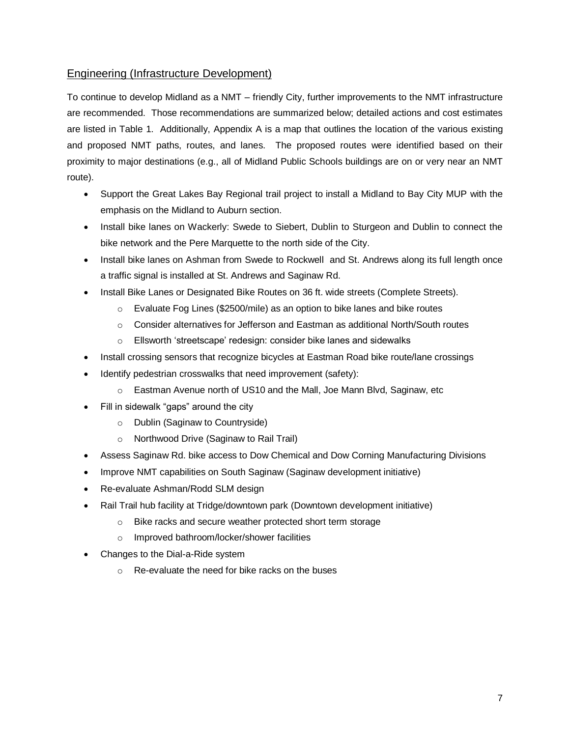# Engineering (Infrastructure Development)

To continue to develop Midland as a NMT – friendly City, further improvements to the NMT infrastructure are recommended. Those recommendations are summarized below; detailed actions and cost estimates are listed in Table 1. Additionally, Appendix A is a map that outlines the location of the various existing and proposed NMT paths, routes, and lanes. The proposed routes were identified based on their proximity to major destinations (e.g., all of Midland Public Schools buildings are on or very near an NMT route).

- Support the Great Lakes Bay Regional trail project to install a Midland to Bay City MUP with the emphasis on the Midland to Auburn section.
- Install bike lanes on Wackerly: Swede to Siebert, Dublin to Sturgeon and Dublin to connect the bike network and the Pere Marquette to the north side of the City.
- Install bike lanes on Ashman from Swede to Rockwell and St. Andrews along its full length once a traffic signal is installed at St. Andrews and Saginaw Rd.
- Install Bike Lanes or Designated Bike Routes on 36 ft. wide streets (Complete Streets).
	- $\circ$  Evaluate Fog Lines (\$2500/mile) as an option to bike lanes and bike routes
	- $\circ$  Consider alternatives for Jefferson and Eastman as additional North/South routes
	- o Ellsworth 'streetscape' redesign: consider bike lanes and sidewalks
- Install crossing sensors that recognize bicycles at Eastman Road bike route/lane crossings
- Identify pedestrian crosswalks that need improvement (safety):
	- o Eastman Avenue north of US10 and the Mall, Joe Mann Blvd, Saginaw, etc
- Fill in sidewalk "gaps" around the city
	- o Dublin (Saginaw to Countryside)
	- o Northwood Drive (Saginaw to Rail Trail)
- Assess Saginaw Rd. bike access to Dow Chemical and Dow Corning Manufacturing Divisions
- Improve NMT capabilities on South Saginaw (Saginaw development initiative)
- Re-evaluate Ashman/Rodd SLM design
- Rail Trail hub facility at Tridge/downtown park (Downtown development initiative)
	- o Bike racks and secure weather protected short term storage
	- o Improved bathroom/locker/shower facilities
- Changes to the Dial-a-Ride system
	- o Re-evaluate the need for bike racks on the buses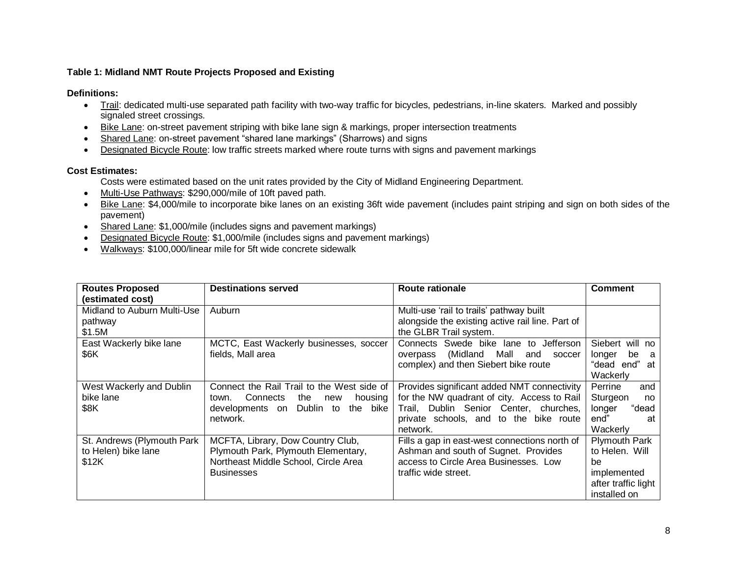#### **Table 1: Midland NMT Route Projects Proposed and Existing**

**Definitions:**

- Trail: dedicated multi-use separated path facility with two-way traffic for bicycles, pedestrians, in-line skaters. Marked and possibly signaled street crossings.
- Bike Lane: on-street pavement striping with bike lane sign & markings, proper intersection treatments
- Shared Lane: on-street pavement "shared lane markings" (Sharrows) and signs
- Designated Bicycle Route: low traffic streets marked where route turns with signs and pavement markings

#### **Cost Estimates:**

- Costs were estimated based on the unit rates provided by the City of Midland Engineering Department.
- Multi-Use Pathways: \$290,000/mile of 10ft paved path.
- Bike Lane: \$4,000/mile to incorporate bike lanes on an existing 36ft wide pavement (includes paint striping and sign on both sides of the pavement)
- Shared Lane: \$1,000/mile (includes signs and pavement markings)
- Designated Bicycle Route: \$1,000/mile (includes signs and pavement markings)
- Walkways: \$100,000/linear mile for 5ft wide concrete sidewalk

| <b>Routes Proposed</b>      | <b>Destinations served</b>                 | Route rationale                                  | <b>Comment</b>       |
|-----------------------------|--------------------------------------------|--------------------------------------------------|----------------------|
| (estimated cost)            |                                            |                                                  |                      |
| Midland to Auburn Multi-Use | Auburn                                     | Multi-use 'rail to trails' pathway built         |                      |
| pathway                     |                                            | alongside the existing active rail line. Part of |                      |
| \$1.5M                      |                                            | the GLBR Trail system.                           |                      |
| East Wackerly bike lane     | MCTC, East Wackerly businesses, soccer     | Connects Swede bike lane to<br>Jefferson         | Siebert<br>will no   |
| \$6K                        | fields, Mall area                          | Mall<br>(Midland<br>and<br>soccer<br>overpass    | be<br>longer<br>- a  |
|                             |                                            | complex) and then Siebert bike route             | end"<br>"dead<br>at  |
|                             |                                            |                                                  | Wackerly             |
| West Wackerly and Dublin    | Connect the Rail Trail to the West side of | Provides significant added NMT connectivity      | Perrine<br>and       |
| bike lane                   | Connects<br>the<br>housing<br>town.<br>new | for the NW quadrant of city. Access to Rail      | Sturgeon<br>no       |
| \$8K                        | the bike<br>Dublin to<br>developments on   | Trail, Dublin Senior Center, churches,           | "dead<br>longer      |
|                             | network.                                   | private schools, and to the bike route           | end"<br>at           |
|                             |                                            | network.                                         | Wackerly             |
| St. Andrews (Plymouth Park  | MCFTA, Library, Dow Country Club,          | Fills a gap in east-west connections north of    | <b>Plymouth Park</b> |
| to Helen) bike lane         | Plymouth Park, Plymouth Elementary,        | Ashman and south of Sugnet. Provides             | to Helen, Will       |
| \$12K                       | Northeast Middle School, Circle Area       | access to Circle Area Businesses. Low            | be                   |
|                             | <b>Businesses</b>                          | traffic wide street.                             | implemented          |
|                             |                                            |                                                  | after traffic light  |
|                             |                                            |                                                  | installed on         |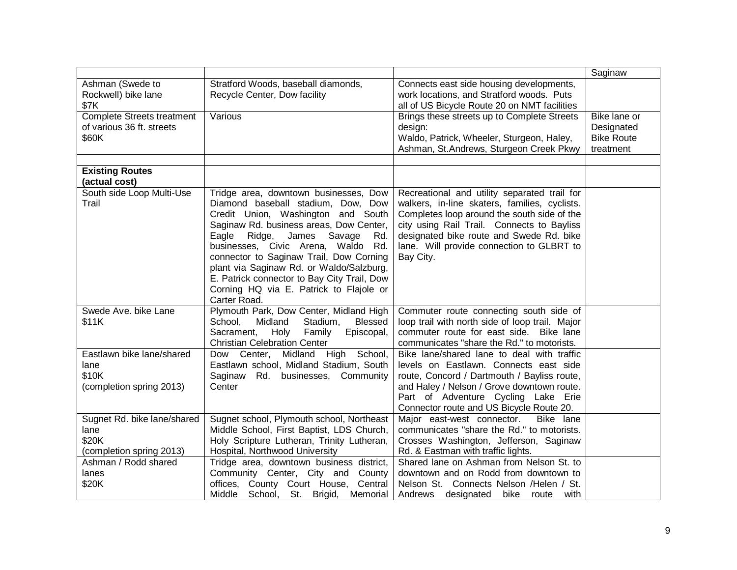|                                   |                                                  |                                                 | Saginaw           |
|-----------------------------------|--------------------------------------------------|-------------------------------------------------|-------------------|
| Ashman (Swede to                  | Stratford Woods, baseball diamonds,              | Connects east side housing developments,        |                   |
| Rockwell) bike lane               | Recycle Center, Dow facility                     | work locations, and Stratford woods. Puts       |                   |
| \$7K                              |                                                  | all of US Bicycle Route 20 on NMT facilities    |                   |
| <b>Complete Streets treatment</b> | Various                                          | Brings these streets up to Complete Streets     | Bike lane or      |
| of various 36 ft. streets         |                                                  | design:                                         | Designated        |
| \$60K                             |                                                  | Waldo, Patrick, Wheeler, Sturgeon, Haley,       | <b>Bike Route</b> |
|                                   |                                                  | Ashman, St.Andrews, Sturgeon Creek Pkwy         | treatment         |
|                                   |                                                  |                                                 |                   |
| <b>Existing Routes</b>            |                                                  |                                                 |                   |
| (actual cost)                     |                                                  |                                                 |                   |
| South side Loop Multi-Use         | Tridge area, downtown businesses, Dow            | Recreational and utility separated trail for    |                   |
| Trail                             | Diamond baseball stadium, Dow, Dow               | walkers, in-line skaters, families, cyclists.   |                   |
|                                   | Credit Union, Washington and South               | Completes loop around the south side of the     |                   |
|                                   | Saginaw Rd. business areas, Dow Center,          | city using Rail Trail. Connects to Bayliss      |                   |
|                                   | Eagle<br>Ridge,<br>James Savage<br>Rd.           | designated bike route and Swede Rd. bike        |                   |
|                                   | businesses, Civic Arena, Waldo Rd.               | lane. Will provide connection to GLBRT to       |                   |
|                                   | connector to Saginaw Trail, Dow Corning          | Bay City.                                       |                   |
|                                   | plant via Saginaw Rd. or Waldo/Salzburg,         |                                                 |                   |
|                                   | E. Patrick connector to Bay City Trail, Dow      |                                                 |                   |
|                                   | Corning HQ via E. Patrick to Flajole or          |                                                 |                   |
|                                   | Carter Road.                                     |                                                 |                   |
| Swede Ave. bike Lane              | Plymouth Park, Dow Center, Midland High          | Commuter route connecting south side of         |                   |
| \$11K                             | Midland<br>School,<br>Stadium,<br><b>Blessed</b> | loop trail with north side of loop trail. Major |                   |
|                                   | Sacrament,<br>Episcopal,<br>Holy<br>Family       | commuter route for east side. Bike lane         |                   |
|                                   | <b>Christian Celebration Center</b>              | communicates "share the Rd." to motorists.      |                   |
| Eastlawn bike lane/shared         | Dow Center, Midland High School,                 | Bike lane/shared lane to deal with traffic      |                   |
| lane                              | Eastlawn school, Midland Stadium, South          | levels on Eastlawn. Connects east side          |                   |
| \$10K                             | Saginaw Rd. businesses, Community                | route, Concord / Dartmouth / Bayliss route,     |                   |
| (completion spring 2013)          | Center                                           | and Haley / Nelson / Grove downtown route.      |                   |
|                                   |                                                  | Part of Adventure Cycling Lake Erie             |                   |
|                                   |                                                  | Connector route and US Bicycle Route 20.        |                   |
| Sugnet Rd. bike lane/shared       | Sugnet school, Plymouth school, Northeast        | Major east-west connector.<br>Bike lane         |                   |
| lane                              | Middle School, First Baptist, LDS Church,        | communicates "share the Rd." to motorists.      |                   |
| \$20K                             | Holy Scripture Lutheran, Trinity Lutheran,       | Crosses Washington, Jefferson, Saginaw          |                   |
| (completion spring 2013)          | Hospital, Northwood University                   | Rd. & Eastman with traffic lights.              |                   |
| Ashman / Rodd shared              | Tridge area, downtown business district,         | Shared Iane on Ashman from Nelson St. to        |                   |
| lanes                             | Community Center, City and County                | downtown and on Rodd from downtown to           |                   |
| \$20K                             | offices, County Court House, Central             | Nelson St. Connects Nelson /Helen / St.         |                   |
|                                   |                                                  |                                                 |                   |
|                                   | St. Brigid,<br>Middle School,<br>Memorial        | Andrews designated<br>bike<br>with<br>route     |                   |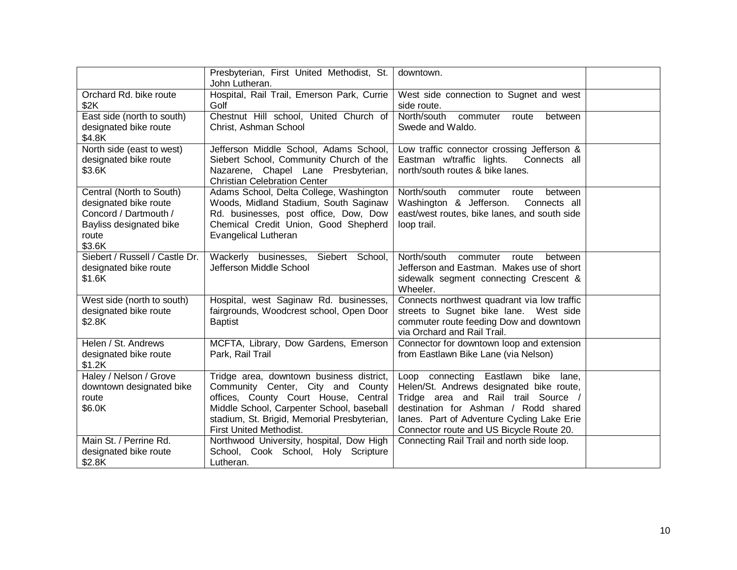|                                                                                                                          | Presbyterian, First United Methodist, St.<br>John Lutheran.                                                                                                                                                                                  | downtown.                                                                                                                                                                                                                                                      |  |
|--------------------------------------------------------------------------------------------------------------------------|----------------------------------------------------------------------------------------------------------------------------------------------------------------------------------------------------------------------------------------------|----------------------------------------------------------------------------------------------------------------------------------------------------------------------------------------------------------------------------------------------------------------|--|
| Orchard Rd. bike route<br>\$2K                                                                                           | Hospital, Rail Trail, Emerson Park, Currie<br>Golf                                                                                                                                                                                           | West side connection to Sugnet and west<br>side route.                                                                                                                                                                                                         |  |
| East side (north to south)<br>designated bike route<br>\$4.8K                                                            | Chestnut Hill school, United Church of<br>Christ, Ashman School                                                                                                                                                                              | North/south<br>commuter<br>route<br>between<br>Swede and Waldo.                                                                                                                                                                                                |  |
| North side (east to west)<br>designated bike route<br>\$3.6K                                                             | Jefferson Middle School, Adams School,<br>Siebert School, Community Church of the<br>Nazarene, Chapel Lane Presbyterian,<br><b>Christian Celebration Center</b>                                                                              | Low traffic connector crossing Jefferson &<br>Eastman w/traffic lights.<br>Connects all<br>north/south routes & bike lanes.                                                                                                                                    |  |
| Central (North to South)<br>designated bike route<br>Concord / Dartmouth /<br>Bayliss designated bike<br>route<br>\$3.6K | Adams School, Delta College, Washington<br>Woods, Midland Stadium, South Saginaw<br>Rd. businesses, post office, Dow, Dow<br>Chemical Credit Union, Good Shepherd<br>Evangelical Lutheran                                                    | North/south<br>commuter<br>route<br>between<br>Washington & Jefferson.<br>Connects all<br>east/west routes, bike lanes, and south side<br>loop trail.                                                                                                          |  |
| Siebert / Russell / Castle Dr.<br>designated bike route<br>\$1.6K                                                        | Wackerly businesses, Siebert School,<br>Jefferson Middle School                                                                                                                                                                              | North/south<br>commuter<br>route<br>between<br>Jefferson and Eastman. Makes use of short<br>sidewalk segment connecting Crescent &<br>Wheeler.                                                                                                                 |  |
| West side (north to south)<br>designated bike route<br>\$2.8K                                                            | Hospital, west Saginaw Rd. businesses,<br>fairgrounds, Woodcrest school, Open Door<br><b>Baptist</b>                                                                                                                                         | Connects northwest quadrant via low traffic<br>streets to Sugnet bike lane. West side<br>commuter route feeding Dow and downtown<br>via Orchard and Rail Trail.                                                                                                |  |
| Helen / St. Andrews<br>designated bike route<br>\$1.2K                                                                   | MCFTA, Library, Dow Gardens, Emerson<br>Park, Rail Trail                                                                                                                                                                                     | Connector for downtown loop and extension<br>from Eastlawn Bike Lane (via Nelson)                                                                                                                                                                              |  |
| Haley / Nelson / Grove<br>downtown designated bike<br>route<br>\$6.0K                                                    | Tridge area, downtown business district,<br>Community Center, City and County<br>offices, County Court House, Central<br>Middle School, Carpenter School, baseball<br>stadium, St. Brigid, Memorial Presbyterian,<br>First United Methodist. | Eastlawn bike<br>Loop connecting<br>lane,<br>Helen/St. Andrews designated bike route,<br>Tridge area and Rail trail Source /<br>destination for Ashman / Rodd shared<br>lanes. Part of Adventure Cycling Lake Erie<br>Connector route and US Bicycle Route 20. |  |
| Main St. / Perrine Rd.<br>designated bike route<br>\$2.8K                                                                | Northwood University, hospital, Dow High<br>School, Cook School, Holy Scripture<br>Lutheran.                                                                                                                                                 | Connecting Rail Trail and north side loop.                                                                                                                                                                                                                     |  |